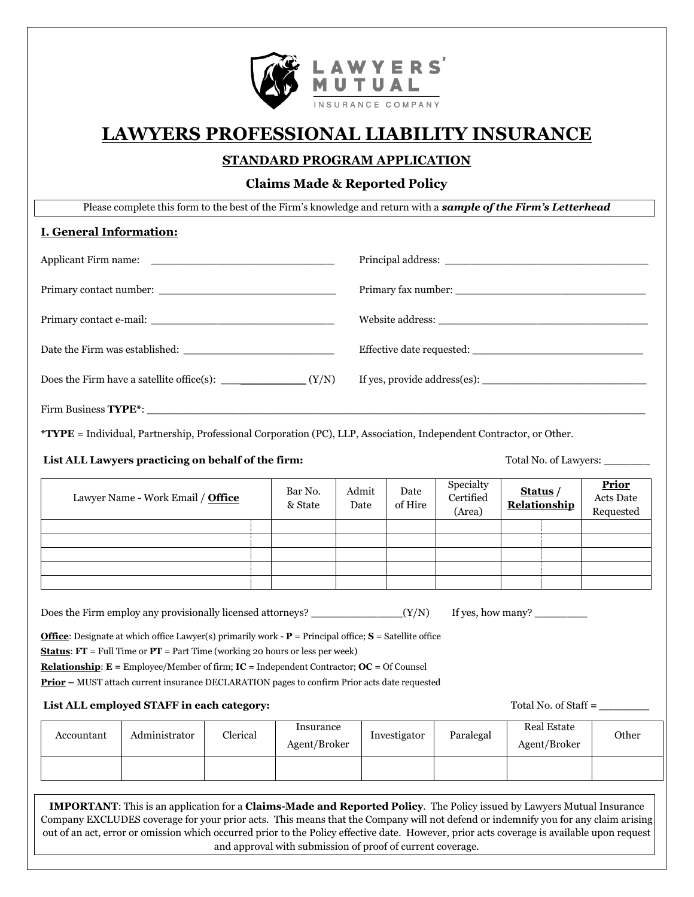

# **LAWYERS PROFESSIONAL LIABILITY INSURANCE**

# **STANDARD PROGRAM APPLICATION**

## **Claims Made & Reported Policy**

Please complete this form to the best of the Firm's knowledge and return with a *sample of the Firm's Letterhead*

## **I. General Information:**

**\*TYPE** = Individual, Partnership, Professional Corporation (PC), LLP, Association, Independent Contractor, or Other.

#### **List ALL Lawyers practicing on behalf of the firm:** Total No. of Lawyers: \_\_\_\_\_\_\_

| Lawyer Name - Work Email / Office | Bar No.<br>& State | Admit<br>Date | Date<br>of Hire | Specialty<br>Certified<br>(Area) | Status /<br>Relationship | <b>Prior</b><br>Acts Date<br>Requested |
|-----------------------------------|--------------------|---------------|-----------------|----------------------------------|--------------------------|----------------------------------------|
|                                   |                    |               |                 |                                  |                          |                                        |
|                                   |                    |               |                 |                                  |                          |                                        |
|                                   |                    |               |                 |                                  |                          |                                        |
|                                   |                    |               |                 |                                  |                          |                                        |
|                                   |                    |               |                 |                                  |                          |                                        |

Does the Firm employ any provisionally licensed attorneys?  $(Y/N)$  If yes, how many?

**Office**: Designate at which office Lawyer(s) primarily work - **P** = Principal office; **S** = Satellite office

**Status**: **FT** = Full Time or **PT** = Part Time (working 20 hours or less per week)

**Relationship**: **E =** Employee/Member of firm; **IC** = Independent Contractor; **OC** = Of Counsel

**Prior –** MUST attach current insurance DECLARATION pages to confirm Prior acts date requested

#### List ALL employed STAFF in each category: Total No. of Staff *= \_\_\_\_\_\_*

| Accountant | Administrator | Clerical | Insurance<br>Agent/Broker | Investigator | Paralegal | Real Estate<br>Agent/Broker | Other |
|------------|---------------|----------|---------------------------|--------------|-----------|-----------------------------|-------|
|            |               |          |                           |              |           |                             |       |

**IMPORTANT**: This is an application for a **Claims-Made and Reported Policy**. The Policy issued by Lawyers Mutual Insurance Company EXCLUDES coverage for your prior acts. This means that the Company will not defend or indemnify you for any claim arising out of an act, error or omission which occurred prior to the Policy effective date. However, prior acts coverage is available upon request and approval with submission of proof of current coverage.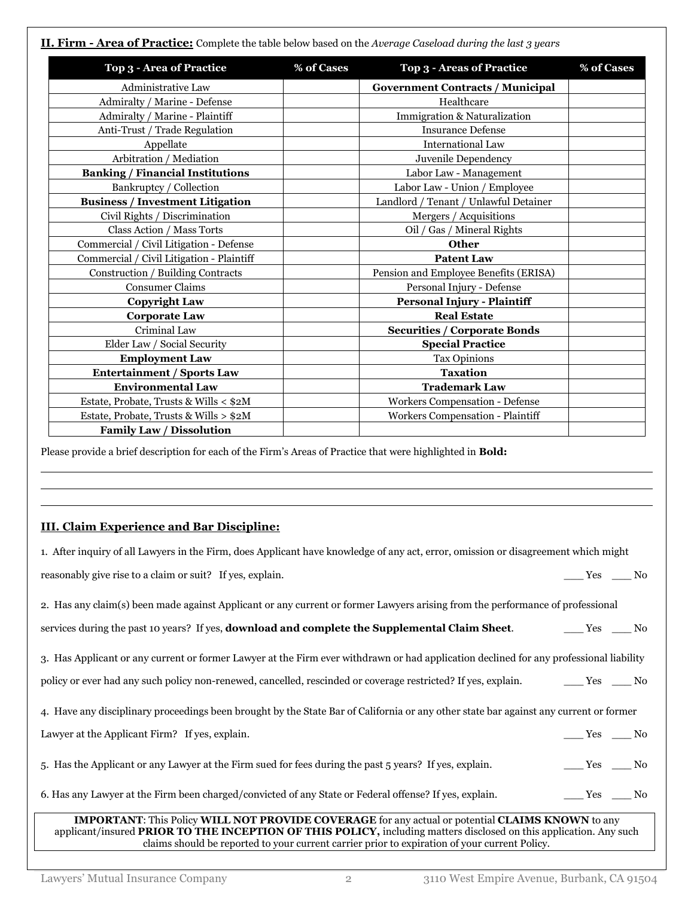**II. Firm - Area of Practice:** Complete the table below based on the *Average Caseload during the last 3 years* **Top 3 - Area of Practice % of Cases Top 3 - Areas of Practice % of Cases** Administrative Law **Government Contracts / Municipal** Admiralty / Marine - Defense Healthcare Healthcare Admiralty / Marine - Plaintiff  $\qquad \qquad$  Immigration & Naturalization Anti-Trust / Trade Regulation  $\qquad \qquad$  Insurance Defense Appellate and International Law Arbitration / Mediation  $\overline{\phantom{a}}$   $\overline{\phantom{a}}$  Juvenile Dependency **Banking / Financial Institutions**  $\qquad$  Labor Law - Management Bankruptcy / Collection  $\vert$  Labor Law - Union / Employee **Business / Investment Litigation**  $\vert$  Landlord / Tenant / Unlawful Detainer Civil Rights / Discrimination  $\vert$  Mergers / Acquisitions Class Action / Mass Torts Oil / Gas / Mineral Rights Commercial / Civil Litigation - Defense **Other** Commercial / Civil Litigation - Plaintiff **Patent Law** Construction / Building Contracts Pension and Employee Benefits (ERISA) Consumer Claims Personal Injury - Defense **Copyright Law Personal Injury - Plaintiff Corporate Law Real Estate** Criminal Law **Securities / Corporate Bonds** Elder Law / Social Security **Special Practice Employment Law**  $\vert$  Tax Opinions **Entertainment / Sports Law Taxation Environmental Law Trademark Law** Estate, Probate, Trusts & Wills < \$2M Workers Compensation - Defense Estate, Probate, Trusts & Wills >  $$2M$  Workers Compensation - Plaintiff **Family Law / Dissolution**

Please provide a brief description for each of the Firm's Areas of Practice that were highlighted in **Bold:**

## **III. Claim Experience and Bar Discipline:**

| 1. After inquiry of all Lawyers in the Firm, does Applicant have knowledge of any act, error, omission or disagreement which might                                                                                                    |                                                               |  |
|---------------------------------------------------------------------------------------------------------------------------------------------------------------------------------------------------------------------------------------|---------------------------------------------------------------|--|
| reasonably give rise to a claim or suit? If yes, explain.                                                                                                                                                                             | Yes No                                                        |  |
| 2. Has any claim(s) been made against Applicant or any current or former Lawyers arising from the performance of professional                                                                                                         |                                                               |  |
| services during the past 10 years? If yes, <b>download and complete the Supplemental Claim Sheet</b> .                                                                                                                                | $Yes$ No                                                      |  |
| 3. Has Applicant or any current or former Lawyer at the Firm ever withdrawn or had application declined for any professional liability                                                                                                |                                                               |  |
| policy or ever had any such policy non-renewed, cancelled, rescinded or coverage restricted? If yes, explain. The Ves ____ No                                                                                                         |                                                               |  |
| 4. Have any disciplinary proceedings been brought by the State Bar of California or any other state bar against any current or former                                                                                                 |                                                               |  |
| Lawyer at the Applicant Firm? If yes, explain.                                                                                                                                                                                        | $\frac{\text{Yes}}{\text{Yes}}$ $\frac{\text{No}}{\text{No}}$ |  |
| 5. Has the Applicant or any Lawyer at the Firm sued for fees during the past 5 years? If yes, explain.                                                                                                                                | $\xrightarrow{\text{Yes}} \underline{\hspace{1cm}}$ No        |  |
| 6. Has any Lawyer at the Firm been charged/convicted of any State or Federal offense? If yes, explain.                                                                                                                                | $\rule{1em}{0.15mm}$ Yes $\rule{1em}{0.15mm}$ No              |  |
| <b>IMPORTANT:</b> This Policy WILL NOT PROVIDE COVERAGE for any actual or potential CLAIMS KNOWN to any<br>applicant/insured <b>PRIOR TO THE INCEPTION OF THIS POLICY</b> , including matters disclosed on this application. Any such |                                                               |  |

claims should be reported to your current carrier prior to expiration of your current Policy.

l l l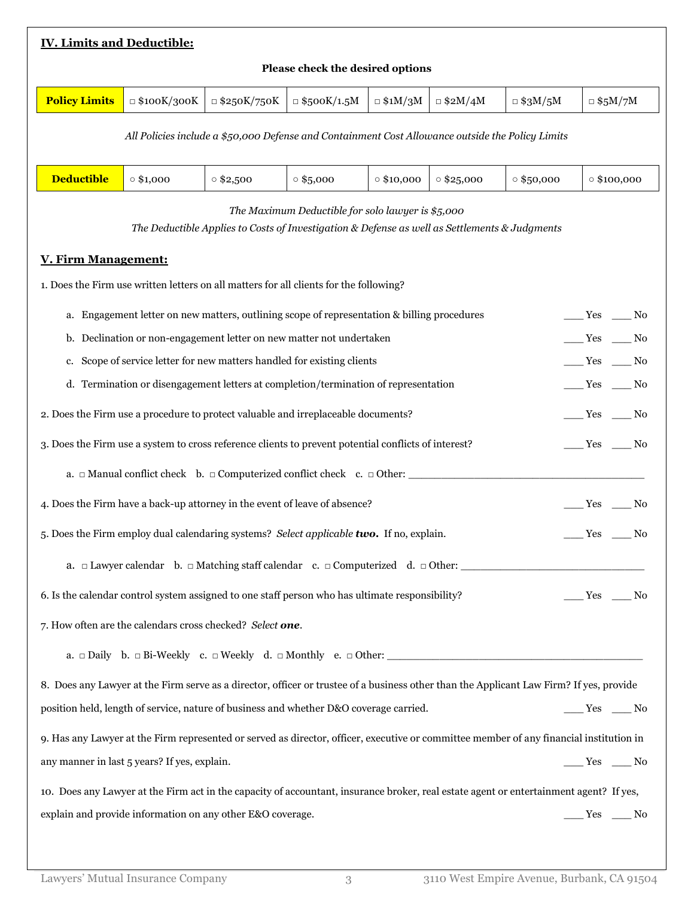| <b>IV. Limits and Deductible:</b>                                                                                                                           |                                                                                                                                        |                    |                    |                |                |                                                        |                                                  |  |
|-------------------------------------------------------------------------------------------------------------------------------------------------------------|----------------------------------------------------------------------------------------------------------------------------------------|--------------------|--------------------|----------------|----------------|--------------------------------------------------------|--------------------------------------------------|--|
| Please check the desired options                                                                                                                            |                                                                                                                                        |                    |                    |                |                |                                                        |                                                  |  |
| <b>Policy Limits</b>                                                                                                                                        | $\Box$ \$100K/300K                                                                                                                     | $\Box$ \$250K/750K | $\Box$ \$500K/1.5M | $\Box$ \$1M/3M | $\Box$ \$2M/4M | $\Box$ \$3M/5M                                         | $\Box$ \$5M/7M                                   |  |
|                                                                                                                                                             | All Policies include a \$50,000 Defense and Containment Cost Allowance outside the Policy Limits                                       |                    |                    |                |                |                                                        |                                                  |  |
| <b>Deductible</b><br>$\circ$ \$1,000<br>$\circ$ \$2,500<br>$\circ$ \$5,000<br>$\circ$ \$25,000<br>$\circ$ \$50,000<br>$\circ$ \$10,000<br>$\circ$ \$100,000 |                                                                                                                                        |                    |                    |                |                |                                                        |                                                  |  |
| The Maximum Deductible for solo lawyer is \$5,000<br>The Deductible Applies to Costs of Investigation & Defense as well as Settlements & Judgments          |                                                                                                                                        |                    |                    |                |                |                                                        |                                                  |  |
| <b>V. Firm Management:</b>                                                                                                                                  |                                                                                                                                        |                    |                    |                |                |                                                        |                                                  |  |
|                                                                                                                                                             | 1. Does the Firm use written letters on all matters for all clients for the following?                                                 |                    |                    |                |                |                                                        |                                                  |  |
|                                                                                                                                                             | a. Engagement letter on new matters, outlining scope of representation & billing procedures                                            |                    |                    |                |                |                                                        | $\rule{1em}{0.15mm}$ Yes $\rule{1em}{0.15mm}$ No |  |
| b.                                                                                                                                                          | Declination or non-engagement letter on new matter not undertaken                                                                      |                    |                    |                |                |                                                        | $\rule{1em}{0.15mm}$ Yes $\rule{1em}{0.15mm}$ No |  |
| c. Scope of service letter for new matters handled for existing clients                                                                                     |                                                                                                                                        |                    |                    |                |                |                                                        | $\rule{1em}{0.15mm}$ Yes $\rule{1em}{0.15mm}$ No |  |
| d. Termination or disengagement letters at completion/termination of representation<br>$\rule{1em}{0.15mm}$ Yes $\rule{1em}{0.15mm}$ No                     |                                                                                                                                        |                    |                    |                |                |                                                        |                                                  |  |
| 2. Does the Firm use a procedure to protect valuable and irreplaceable documents?                                                                           |                                                                                                                                        |                    |                    |                |                | $\rule{1em}{0.15mm}$ Yes $\rule{1em}{0.15mm}$ No       |                                                  |  |
| 3. Does the Firm use a system to cross reference clients to prevent potential conflicts of interest?                                                        |                                                                                                                                        |                    |                    |                |                | $\xrightarrow{\text{Yes}} \underline{\hspace{1cm}}$ No |                                                  |  |
|                                                                                                                                                             | a. $\Box$ Manual conflict check b. $\Box$ Computerized conflict check c. $\Box$ Other:                                                 |                    |                    |                |                |                                                        |                                                  |  |
| 4. Does the Firm have a back-up attorney in the event of leave of absence?<br>____ Yes ____ No                                                              |                                                                                                                                        |                    |                    |                |                |                                                        |                                                  |  |
| 5. Does the Firm employ dual calendaring systems? Select applicable two. If no, explain.<br>$Yes$ <sub>-</sub>                                              |                                                                                                                                        |                    |                    |                |                | No_                                                    |                                                  |  |
| a. $\Box$ Lawyer calendar b. $\Box$ Matching staff calendar c. $\Box$ Computerized d. $\Box$ Other:                                                         |                                                                                                                                        |                    |                    |                |                |                                                        |                                                  |  |
| 6. Is the calendar control system assigned to one staff person who has ultimate responsibility?<br>$\rule{1em}{0.15mm}$ Yes $\rule{1em}{0.15mm}$ No         |                                                                                                                                        |                    |                    |                |                |                                                        |                                                  |  |
| 7. How often are the calendars cross checked? Select one.                                                                                                   |                                                                                                                                        |                    |                    |                |                |                                                        |                                                  |  |
|                                                                                                                                                             |                                                                                                                                        |                    |                    |                |                |                                                        |                                                  |  |
| 8. Does any Lawyer at the Firm serve as a director, officer or trustee of a business other than the Applicant Law Firm? If yes, provide                     |                                                                                                                                        |                    |                    |                |                |                                                        |                                                  |  |
| position held, length of service, nature of business and whether D&O coverage carried.<br>$\rule{1em}{0.15mm}$ Yes $\rule{1em}{0.15mm}$ No                  |                                                                                                                                        |                    |                    |                |                |                                                        |                                                  |  |
| 9. Has any Lawyer at the Firm represented or served as director, officer, executive or committee member of any financial institution in                     |                                                                                                                                        |                    |                    |                |                |                                                        |                                                  |  |
|                                                                                                                                                             | any manner in last 5 years? If yes, explain.<br>$\rule{1em}{0.15mm}$ Yes $\rule{1em}{0.15mm}$ No                                       |                    |                    |                |                |                                                        |                                                  |  |
|                                                                                                                                                             | 10. Does any Lawyer at the Firm act in the capacity of accountant, insurance broker, real estate agent or entertainment agent? If yes, |                    |                    |                |                |                                                        |                                                  |  |
| explain and provide information on any other E&O coverage.<br>$\rule{1em}{0.15mm}$ Yes $\rule{1em}{0.15mm}$ No                                              |                                                                                                                                        |                    |                    |                |                |                                                        |                                                  |  |
|                                                                                                                                                             |                                                                                                                                        |                    |                    |                |                |                                                        |                                                  |  |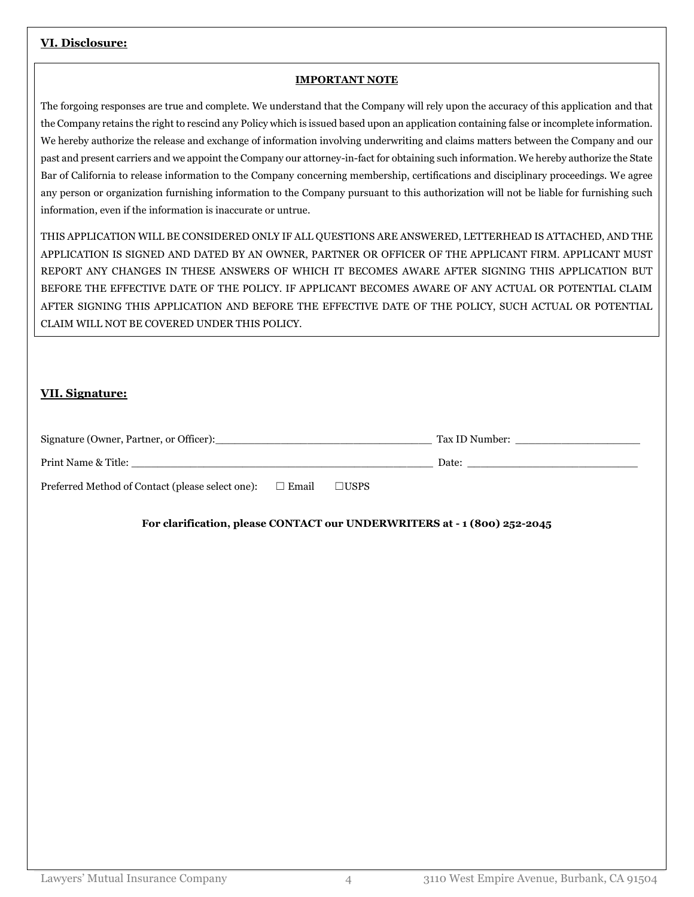## **VI. Disclosure:**

#### **IMPORTANT NOTE**

The forgoing responses are true and complete. We understand that the Company will rely upon the accuracy of this application and that the Company retains the right to rescind any Policy which is issued based upon an application containing false or incomplete information. We hereby authorize the release and exchange of information involving underwriting and claims matters between the Company and our past and present carriers and we appoint the Company our attorney-in-fact for obtaining such information. We hereby authorize the State Bar of California to release information to the Company concerning membership, certifications and disciplinary proceedings. We agree any person or organization furnishing information to the Company pursuant to this authorization will not be liable for furnishing such information, even if the information is inaccurate or untrue.

THIS APPLICATION WILL BE CONSIDERED ONLY IF ALL QUESTIONS ARE ANSWERED, LETTERHEAD IS ATTACHED, AND THE APPLICATION IS SIGNED AND DATED BY AN OWNER, PARTNER OR OFFICER OF THE APPLICANT FIRM. APPLICANT MUST REPORT ANY CHANGES IN THESE ANSWERS OF WHICH IT BECOMES AWARE AFTER SIGNING THIS APPLICATION BUT BEFORE THE EFFECTIVE DATE OF THE POLICY. IF APPLICANT BECOMES AWARE OF ANY ACTUAL OR POTENTIAL CLAIM AFTER SIGNING THIS APPLICATION AND BEFORE THE EFFECTIVE DATE OF THE POLICY, SUCH ACTUAL OR POTENTIAL CLAIM WILL NOT BE COVERED UNDER THIS POLICY.

## **VII. Signature:**

| Signature (Owner, Partner, or Officer):                          |                | Tax ID Number: |
|------------------------------------------------------------------|----------------|----------------|
| Print Name & Title:                                              |                | Date:          |
| Preferred Method of Contact (please select one):<br>$\Box$ Email | $\square$ USPS |                |

## **For clarification, please CONTACT our UNDERWRITERS at - 1 (800) 252-2045**